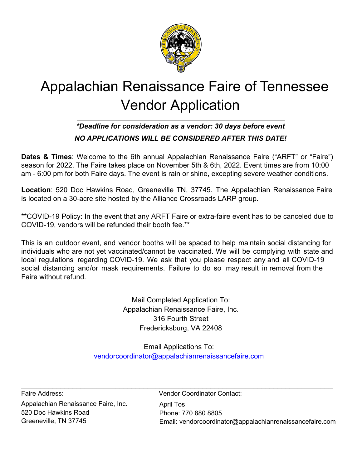

# Appalachian Renaissance Faire of Tennessee Vendor Application

## *\*Deadline for consideration as a vendor: 30 days before event NO APPLICATIONS WILL BE CONSIDERED AFTER THIS DATE!*

**Dates & Times**: Welcome to the 6th annual Appalachian Renaissance Faire ("ARFT" or "Faire") season for 2022. The Faire takes place on November 5th & 6th, 2022. Event times are from 10:00 am - 6:00 pm for both Faire days. The event is rain or shine, excepting severe weather conditions.

**Location**: 520 Doc Hawkins Road, Greeneville TN, 37745. The Appalachian Renaissance Faire is located on a 30-acre site hosted by the Alliance Crossroads LARP group.

\*\*COVID-19 Policy: In the event that any ARFT Faire or extra-faire event has to be canceled due to COVID-19, vendors will be refunded their booth fee.\*\*

This is an outdoor event, and vendor booths will be spaced to help maintain social distancing for individuals who are not yet vaccinated/cannot be vaccinated. We will be complying with state and local regulations regarding COVID-19. We ask that you please respect any and all COVID-19 social distancing and/or mask requirements. Failure to do so may result in removal from the Faire without refund.

> Mail Completed Application To: Appalachian Renaissance Faire, Inc. 316 Fourth Street Fredericksburg, VA 22408

Email Applications To: vendorcoordinator@appalachianrenaissancefaire.com

 $\_$  , and the set of the set of the set of the set of the set of the set of the set of the set of the set of the set of the set of the set of the set of the set of the set of the set of the set of the set of the set of th

Appalachian Renaissance Faire, Inc. 520 Doc Hawkins Road Greeneville, TN 37745

April Tos Phone: 770 880 8805 Email: vendorcoordinator@appalachianrenaissancefaire.com Faire Address: Vendor Coordinator Contact: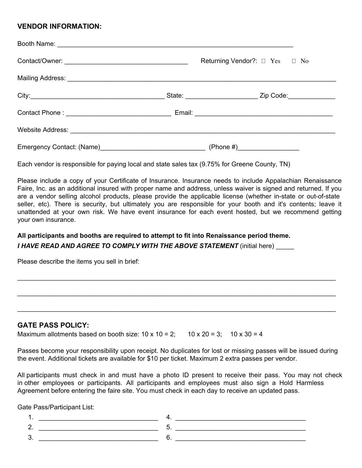### **VENDOR INFORMATION:**

|           | Returning Vendor?: $\Box$ Yes $\Box$ No |
|-----------|-----------------------------------------|
|           |                                         |
|           |                                         |
|           |                                         |
|           |                                         |
| (Phone #) |                                         |

Each vendor is responsible for paying local and state sales tax (9.75% for Greene County, TN)

Please include a copy of your Certificate of Insurance. Insurance needs to include Appalachian Renaissance Faire, Inc. as an additional insured with proper name and address, unless waiver is signed and returned. If you are a vendor selling alcohol products, please provide the applicable license (whether in-state or out-of-state seller, etc). There is security, but ultimately you are responsible for your booth and it's contents; leave it unattended at your own risk. We have event insurance for each event hosted, but we recommend getting your own insurance.

#### **All participants and booths are required to attempt to fit into Renaissance period theme.** *I HAVE READ AND AGREE TO COMPLY WITH THE ABOVE STATEMENT* (initial here)

Please describe the items you sell in brief:

#### **GATE PASS POLICY:**

Maximum allotments based on booth size:  $10 \times 10 = 2$ ;  $10 \times 20 = 3$ ;  $10 \times 30 = 4$ 

Passes become your responsibility upon receipt. No duplicates for lost or missing passes will be issued during the event. Additional tickets are available for \$10 per ticket. Maximum 2 extra passes per vendor.

\_\_\_\_\_\_\_\_\_\_\_\_\_\_\_\_\_\_\_\_\_\_\_\_\_\_\_\_\_\_\_\_\_\_\_\_\_\_\_\_\_\_\_\_\_\_\_\_\_\_\_\_\_\_\_\_\_\_\_\_\_\_\_\_\_\_\_\_\_\_\_\_\_\_\_\_\_\_\_\_\_\_\_\_\_\_\_\_

\_\_\_\_\_\_\_\_\_\_\_\_\_\_\_\_\_\_\_\_\_\_\_\_\_\_\_\_\_\_\_\_\_\_\_\_\_\_\_\_\_\_\_\_\_\_\_\_\_\_\_\_\_\_\_\_\_\_\_\_\_\_\_\_\_\_\_\_\_\_\_\_\_\_\_\_\_\_\_\_\_\_\_\_\_\_\_\_

\_\_\_\_\_\_\_\_\_\_\_\_\_\_\_\_\_\_\_\_\_\_\_\_\_\_\_\_\_\_\_\_\_\_\_\_\_\_\_\_\_\_\_\_\_\_\_\_\_\_\_\_\_\_\_\_\_\_\_\_\_\_\_\_\_\_\_\_\_\_\_\_\_\_\_\_\_\_\_\_\_\_\_\_\_\_\_\_

All participants must check in and must have a photo ID present to receive their pass. You may not check in other employees or participants. All participants and employees must also sign a Hold Harmless Agreement before entering the faire site. You must check in each day to receive an updated pass.

Gate Pass/Participant List:

1.  $4.$ 2. \_\_\_\_\_\_\_\_\_\_\_\_\_\_\_\_\_\_\_\_\_\_\_\_\_\_\_\_\_\_\_\_\_ 5. \_\_\_\_\_\_\_\_\_\_\_\_\_\_\_\_\_\_\_\_\_\_\_\_\_\_\_\_\_\_\_\_\_\_\_\_  $3.$   $\hphantom{0}6.$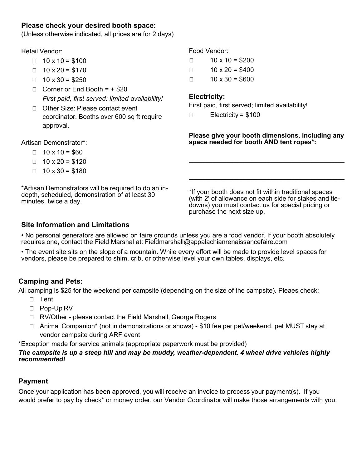## **Please check your desired booth space:**

(Unless otherwise indicated, all prices are for 2 days)

#### Retail Vendor:

- $\Box$  10 x 10 = \$100
- $\Box$  10 x 20 = \$170
- $\Box$  10 x 30 = \$250
- $\Box$  Corner or End Booth =  $+$  \$20 *First paid, first served: limited availability!*
- □ Other Size: Please contact event coordinator. Booths over 600 sq ft require approval.

Artisan Demonstrator\*:

- $\Box$  10 x 10 = \$60
- $\Box$  10 x 20 = \$120
- $\Box$  10 x 30 = \$180

\*Artisan Demonstrators will be required to do an indepth, scheduled, demonstration of at least 30 minutes, twice a day.

Food Vendor:

- $\Box$  10 x 10 = \$200
- $\Box$  10 x 20 = \$400
- $\Box$  10 x 30 = \$600

## **Electricity:**

First paid, first served; limited availability!

 $\Box$  Electricity = \$100

#### **Please give your booth dimensions, including any space needed for booth AND tent ropes\*:**

\_\_\_\_\_\_\_\_\_\_\_\_\_\_\_\_\_\_\_\_\_\_\_\_\_\_\_\_\_\_\_\_\_\_\_\_\_\_\_\_\_\_\_

\_\_\_\_\_\_\_\_\_\_\_\_\_\_\_\_\_\_\_\_\_\_\_\_\_\_\_\_\_\_\_\_\_\_\_\_\_\_\_\_\_\_\_

\*If your booth does not fit within traditional spaces (with 2' of allowance on each side for stakes and tiedowns) you must contact us for special pricing or purchase the next size up.

### **Site Information and Limitations**

• No personal generators are allowed on faire grounds unless you are a food vendor. If your booth absolutely requires one, contact the Field Marshal at: Fieldmarshall@appalachianrenaissancefaire.com

• The event site sits on the slope of a mountain. While every effort will be made to provide level spaces for vendors, please be prepared to shim, crib, or otherwise level your own tables, displays, etc.

## **Camping and Pets:**

All camping is \$25 for the weekend per campsite (depending on the size of the campsite). Pleaes check:

- □ Tent
- □ Pop-Up RV
- □ RV/Other please contact the Field Marshall, George Rogers
- □ Animal Companion<sup>\*</sup> (not in demonstrations or shows) \$10 fee per pet/weekend, pet MUST stay at vendor campsite during ARF event

\*Exception made for service animals (appropriate paperwork must be provided)

#### *The campsite is up a steep hill and may be muddy, weather-dependent. 4 wheel drive vehicles highly recommended!*

## **Payment**

Once your application has been approved, you will receive an invoice to process your payment(s). If you would prefer to pay by check\* or money order, our Vendor Coordinator will make those arrangements with you.